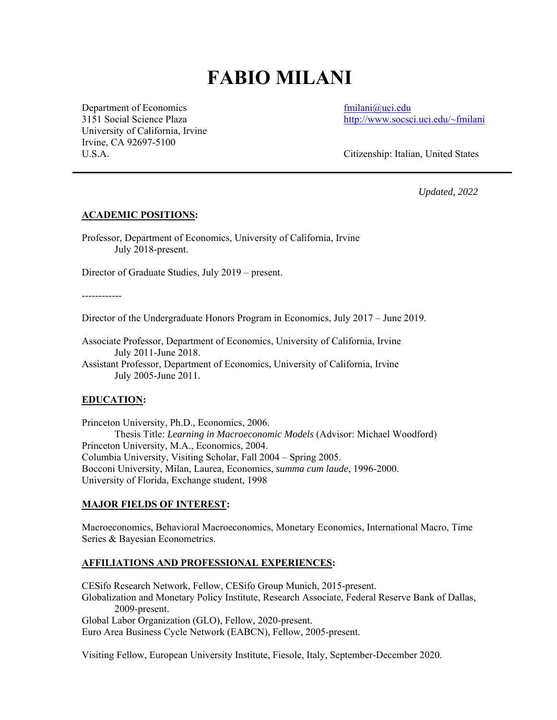# **FABIO MILANI**

Department of Economics fmilani@uci.edu University of California, Irvine Irvine, CA 92697-5100

3151 Social Science Plaza http://www.socsci.uci.edu/~fmilani

U.S.A. Citizenship: Italian, United States

*Updated, 2022* 

#### **ACADEMIC POSITIONS:**

Professor, Department of Economics, University of California, Irvine July 2018-present.

Director of Graduate Studies, July 2019 – present.

------------

Director of the Undergraduate Honors Program in Economics, July 2017 – June 2019.

Associate Professor, Department of Economics, University of California, Irvine July 2011-June 2018.

Assistant Professor, Department of Economics, University of California, Irvine July 2005-June 2011.

#### **EDUCATION:**

Princeton University, Ph.D., Economics, 2006. Thesis Title: *Learning in Macroeconomic Models* (Advisor: Michael Woodford) Princeton University, M.A., Economics, 2004. Columbia University, Visiting Scholar, Fall 2004 – Spring 2005. Bocconi University, Milan, Laurea, Economics, *summa cum laude*, 1996-2000. University of Florida, Exchange student, 1998

#### **MAJOR FIELDS OF INTEREST:**

Macroeconomics, Behavioral Macroeconomics, Monetary Economics, International Macro, Time Series & Bayesian Econometrics.

#### **AFFILIATIONS AND PROFESSIONAL EXPERIENCES:**

CESifo Research Network, Fellow, CESifo Group Munich, 2015-present. Globalization and Monetary Policy Institute, Research Associate, Federal Reserve Bank of Dallas, 2009-present. Global Labor Organization (GLO), Fellow, 2020-present. Euro Area Business Cycle Network (EABCN), Fellow, 2005-present.

Visiting Fellow, European University Institute, Fiesole, Italy, September-December 2020.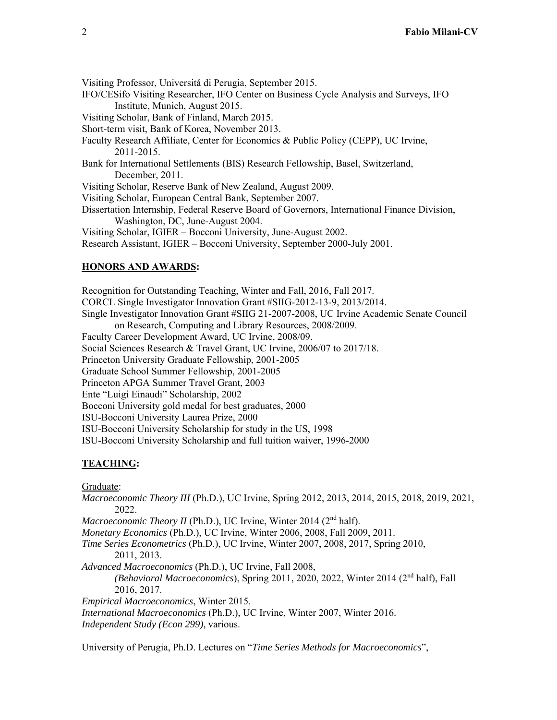Visiting Professor, Universitá di Perugia, September 2015. IFO/CESifo Visiting Researcher, IFO Center on Business Cycle Analysis and Surveys, IFO Institute, Munich, August 2015. Visiting Scholar, Bank of Finland, March 2015. Short-term visit, Bank of Korea, November 2013. Faculty Research Affiliate, Center for Economics & Public Policy (CEPP), UC Irvine, 2011-2015. Bank for International Settlements (BIS) Research Fellowship, Basel, Switzerland, December, 2011. Visiting Scholar, Reserve Bank of New Zealand, August 2009. Visiting Scholar, European Central Bank, September 2007. Dissertation Internship, Federal Reserve Board of Governors, International Finance Division, Washington, DC, June-August 2004.

Visiting Scholar, IGIER – Bocconi University, June-August 2002.

Research Assistant, IGIER – Bocconi University, September 2000-July 2001.

#### **HONORS AND AWARDS:**

Recognition for Outstanding Teaching, Winter and Fall, 2016, Fall 2017. CORCL Single Investigator Innovation Grant #SIIG-2012-13-9, 2013/2014. Single Investigator Innovation Grant #SIIG 21-2007-2008, UC Irvine Academic Senate Council on Research, Computing and Library Resources, 2008/2009. Faculty Career Development Award, UC Irvine, 2008/09. Social Sciences Research & Travel Grant, UC Irvine, 2006/07 to 2017/18. Princeton University Graduate Fellowship, 2001-2005 Graduate School Summer Fellowship, 2001-2005 Princeton APGA Summer Travel Grant, 2003 Ente "Luigi Einaudi" Scholarship, 2002 Bocconi University gold medal for best graduates, 2000 ISU-Bocconi University Laurea Prize, 2000 ISU-Bocconi University Scholarship for study in the US, 1998 ISU-Bocconi University Scholarship and full tuition waiver, 1996-2000

#### **TEACHING:**

Graduate:

*Macroeconomic Theory III* (Ph.D.), UC Irvine, Spring 2012, 2013, 2014, 2015, 2018, 2019, 2021, 2022.

*Macroeconomic Theory II* (Ph.D.), UC Irvine, Winter 2014 (2<sup>nd</sup> half).

*Monetary Economics* (Ph.D.), UC Irvine, Winter 2006, 2008, Fall 2009, 2011.

*Time Series Econometrics* (Ph.D.), UC Irvine, Winter 2007, 2008, 2017, Spring 2010, 2011, 2013.

*Advanced Macroeconomics* (Ph.D.), UC Irvine, Fall 2008,

*(Behavioral Macroeconomics*), Spring 2011, 2020, 2022, Winter 2014 (2nd half), Fall 2016, 2017.

*Empirical Macroeconomics*, Winter 2015. *International Macroeconomics* (Ph.D.), UC Irvine, Winter 2007, Winter 2016. *Independent Study (Econ 299)*, various.

University of Perugia, Ph.D. Lectures on "*Time Series Methods for Macroeconomics*",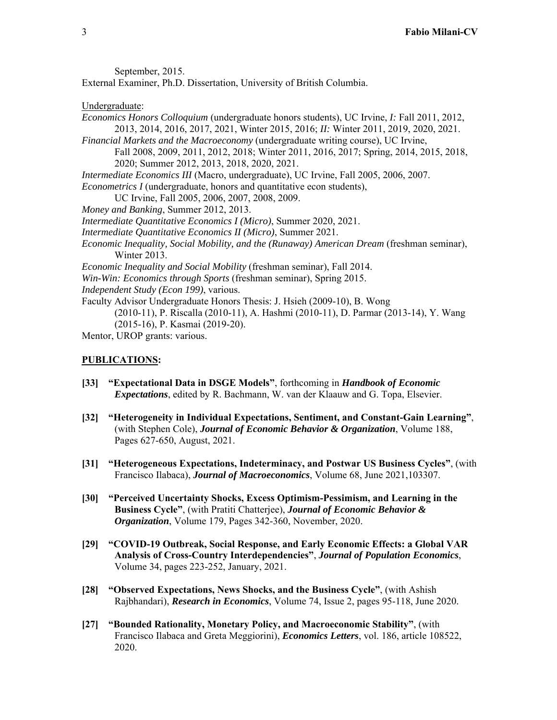September, 2015.

External Examiner, Ph.D. Dissertation, University of British Columbia.

#### Undergraduate:

*Economics Honors Colloquium* (undergraduate honors students), UC Irvine, *I:* Fall 2011, 2012, 2013, 2014, 2016, 2017, 2021, Winter 2015, 2016; *II:* Winter 2011, 2019, 2020, 2021. *Financial Markets and the Macroeconomy* (undergraduate writing course), UC Irvine, Fall 2008, 2009, 2011, 2012, 2018; Winter 2011, 2016, 2017; Spring, 2014, 2015, 2018, 2020; Summer 2012, 2013, 2018, 2020, 2021. *Intermediate Economics III* (Macro, undergraduate), UC Irvine, Fall 2005, 2006, 2007. *Econometrics I* (undergraduate, honors and quantitative econ students), UC Irvine, Fall 2005, 2006, 2007, 2008, 2009. *Money and Banking*, Summer 2012, 2013. *Intermediate Quantitative Economics I (Micro)*, Summer 2020, 2021. *Intermediate Quantitative Economics II (Micro)*, Summer 2021. *Economic Inequality, Social Mobility, and the (Runaway) American Dream* (freshman seminar), Winter 2013. *Economic Inequality and Social Mobility* (freshman seminar), Fall 2014. *Win-Win: Economics through Sports* (freshman seminar), Spring 2015. *Independent Study (Econ 199)*, various. Faculty Advisor Undergraduate Honors Thesis: J. Hsieh (2009-10), B. Wong (2010-11), P. Riscalla (2010-11), A. Hashmi (2010-11), D. Parmar (2013-14), Y. Wang (2015-16), P. Kasmai (2019-20).

Mentor, UROP grants: various.

#### **PUBLICATIONS:**

- **[33] "Expectational Data in DSGE Models"**, forthcoming in *Handbook of Economic Expectations*, edited by R. Bachmann, W. van der Klaauw and G. Topa, Elsevier.
- **[32] "Heterogeneity in Individual Expectations, Sentiment, and Constant-Gain Learning"**, (with Stephen Cole), *Journal of Economic Behavior & Organization*, Volume 188, Pages 627-650, August, 2021.
- **[31] "Heterogeneous Expectations, Indeterminacy, and Postwar US Business Cycles"**, (with Francisco Ilabaca), *Journal of Macroeconomics*, Volume 68, June 2021,103307.
- **[30] "Perceived Uncertainty Shocks, Excess Optimism-Pessimism, and Learning in the Business Cycle"**, (with Pratiti Chatterjee), *Journal of Economic Behavior & Organization*, Volume 179, Pages 342-360, November, 2020.
- **[29] "COVID-19 Outbreak, Social Response, and Early Economic Effects: a Global VAR Analysis of Cross-Country Interdependencies"**, *Journal of Population Economics*, Volume 34, pages 223-252, January, 2021.
- **[28] "Observed Expectations, News Shocks, and the Business Cycle"**, (with Ashish Rajbhandari), *Research in Economics*, Volume 74, Issue 2, pages 95-118, June 2020.
- **[27] "Bounded Rationality, Monetary Policy, and Macroeconomic Stability"**, (with Francisco Ilabaca and Greta Meggiorini), *Economics Letters*, vol. 186, article 108522, 2020.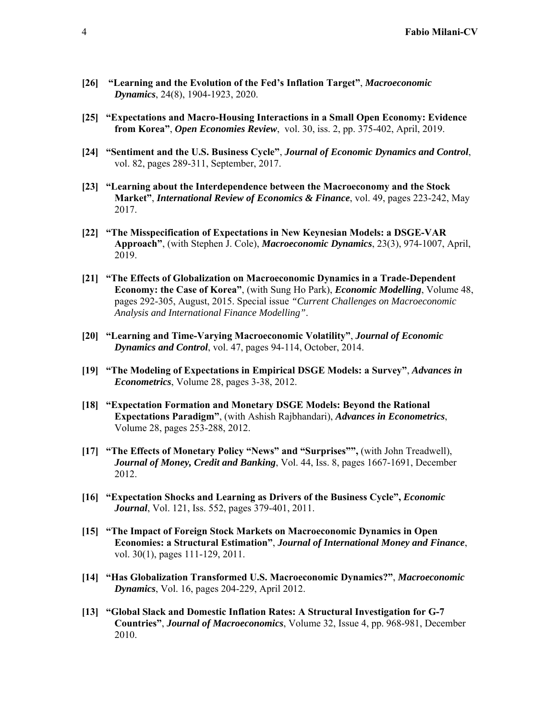- **[26] "Learning and the Evolution of the Fed's Inflation Target"**, *Macroeconomic Dynamics*, 24(8), 1904-1923, 2020.
- **[25] "Expectations and Macro-Housing Interactions in a Small Open Economy: Evidence from Korea"**, *Open Economies Review*, vol. 30, iss. 2, pp. 375-402, April, 2019.
- **[24] "Sentiment and the U.S. Business Cycle"**, *Journal of Economic Dynamics and Control*, vol. 82, pages 289-311, September, 2017.
- **[23] "Learning about the Interdependence between the Macroeconomy and the Stock Market"**, *International Review of Economics & Finance*, vol. 49, pages 223-242, May 2017.
- **[22] "The Misspecification of Expectations in New Keynesian Models: a DSGE-VAR Approach"**, (with Stephen J. Cole), *Macroeconomic Dynamics*, 23(3), 974-1007, April, 2019.
- **[21] "The Effects of Globalization on Macroeconomic Dynamics in a Trade-Dependent Economy: the Case of Korea"**, (with Sung Ho Park), *Economic Modelling*, Volume 48, pages 292-305, August, 2015. Special issue *"Current Challenges on Macroeconomic Analysis and International Finance Modelling"*.
- **[20] "Learning and Time-Varying Macroeconomic Volatility"**, *Journal of Economic Dynamics and Control*, vol. 47, pages 94-114, October, 2014.
- **[19] "The Modeling of Expectations in Empirical DSGE Models: a Survey"**, *Advances in Econometrics*, Volume 28, pages 3-38, 2012.
- **[18] "Expectation Formation and Monetary DSGE Models: Beyond the Rational Expectations Paradigm"**, (with Ashish Rajbhandari), *Advances in Econometrics*, Volume 28, pages 253-288, 2012.
- **[17] "The Effects of Monetary Policy "News" and "Surprises"",** (with John Treadwell), *Journal of Money, Credit and Banking*, Vol. 44, Iss. 8, pages 1667-1691, December 2012.
- **[16] "Expectation Shocks and Learning as Drivers of the Business Cycle",** *Economic Journal*, Vol. 121, Iss. 552, pages 379-401, 2011.
- **[15] "The Impact of Foreign Stock Markets on Macroeconomic Dynamics in Open Economies: a Structural Estimation"**, *Journal of International Money and Finance*, vol. 30(1), pages 111-129, 2011.
- **[14] "Has Globalization Transformed U.S. Macroeconomic Dynamics?"**, *Macroeconomic Dynamics*, Vol. 16, pages 204-229, April 2012.
- **[13] "Global Slack and Domestic Inflation Rates: A Structural Investigation for G-7 Countries"**, *Journal of Macroeconomics*, Volume 32, Issue 4, pp. 968-981, December 2010.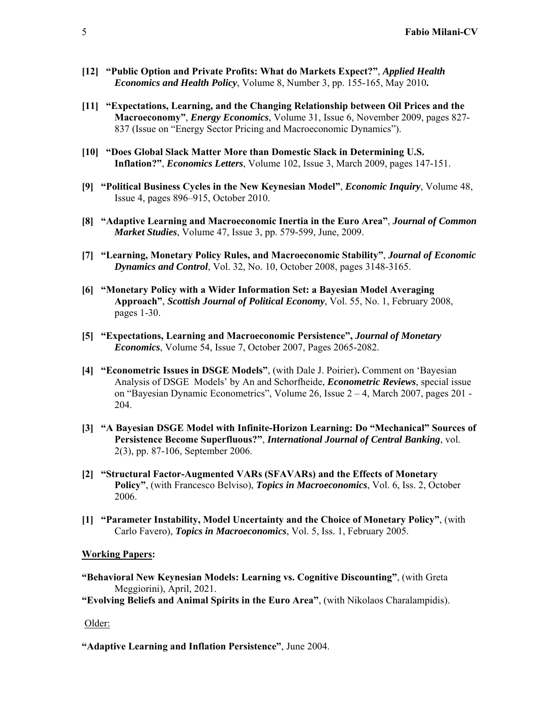- **[12] "Public Option and Private Profits: What do Markets Expect?"**, *Applied Health Economics and Health Policy*, Volume 8, Number 3, pp. 155-165, May 2010**.**
- **[11] "Expectations, Learning, and the Changing Relationship between Oil Prices and the Macroeconomy"**, *Energy Economics*, Volume 31, Issue 6, November 2009, pages 827- 837 (Issue on "Energy Sector Pricing and Macroeconomic Dynamics").
- **[10] "Does Global Slack Matter More than Domestic Slack in Determining U.S. Inflation?"**, *Economics Letters*, Volume 102, Issue 3, March 2009, pages 147-151.
- **[9] "Political Business Cycles in the New Keynesian Model"**, *Economic Inquiry*, Volume 48, Issue 4, pages 896–915, October 2010.
- **[8] "Adaptive Learning and Macroeconomic Inertia in the Euro Area"**, *Journal of Common Market Studies*, Volume 47, Issue 3, pp. 579-599, June, 2009.
- **[7] "Learning, Monetary Policy Rules, and Macroeconomic Stability"**, *Journal of Economic Dynamics and Control*, Vol. 32, No. 10, October 2008, pages 3148-3165.
- **[6] "Monetary Policy with a Wider Information Set: a Bayesian Model Averaging Approach"**, *Scottish Journal of Political Economy*, Vol. 55, No. 1, February 2008, pages 1-30.
- **[5] "Expectations, Learning and Macroeconomic Persistence",** *Journal of Monetary Economics*, Volume 54, Issue 7, October 2007, Pages 2065-2082.
- **[4] "Econometric Issues in DSGE Models"**, (with Dale J. Poirier)**.** Comment on 'Bayesian Analysis of DSGE Models' by An and Schorfheide, *Econometric Reviews*, special issue on "Bayesian Dynamic Econometrics", Volume 26, Issue 2 – 4, March 2007, pages 201 - 204.
- **[3] "A Bayesian DSGE Model with Infinite-Horizon Learning: Do "Mechanical" Sources of Persistence Become Superfluous?"**, *International Journal of Central Banking*, vol. 2(3), pp. 87-106, September 2006.
- **[2] "Structural Factor-Augmented VARs (SFAVARs) and the Effects of Monetary Policy"**, (with Francesco Belviso), *Topics in Macroeconomics*, Vol. 6, Iss. 2, October 2006.
- **[1] "Parameter Instability, Model Uncertainty and the Choice of Monetary Policy"**, (with Carlo Favero), *Topics in Macroeconomics*, Vol. 5, Iss. 1, February 2005.

#### **Working Papers:**

**"Behavioral New Keynesian Models: Learning vs. Cognitive Discounting"**, (with Greta Meggiorini), April, 2021.

**"Evolving Beliefs and Animal Spirits in the Euro Area"**, (with Nikolaos Charalampidis).

#### Older:

**"Adaptive Learning and Inflation Persistence"**, June 2004.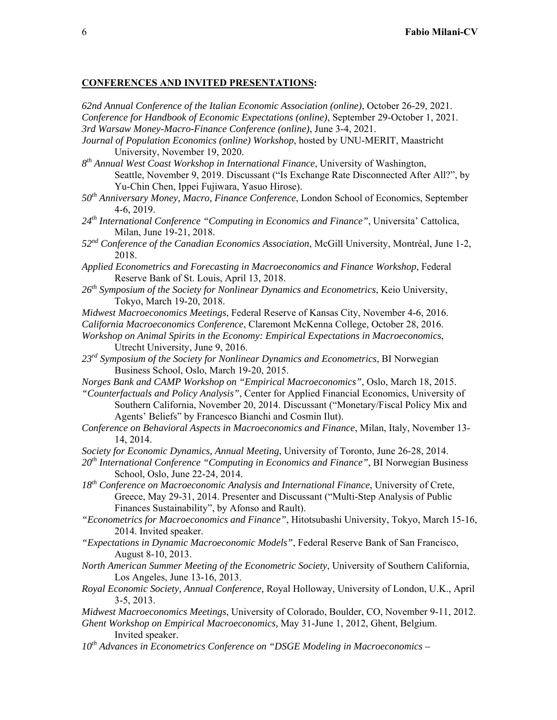#### **CONFERENCES AND INVITED PRESENTATIONS:**

*62nd Annual Conference of the Italian Economic Association (online)*, October 26-29, 2021. *Conference for Handbook of Economic Expectations (online)*, September 29-October 1, 2021. *3rd Warsaw Money-Macro-Finance Conference (online)*, June 3-4, 2021.

- *Journal of Population Economics (online) Workshop*, hosted by UNU-MERIT, Maastricht University, November 19, 2020.
- *8th Annual West Coast Workshop in International Finance*, University of Washington, Seattle, November 9, 2019. Discussant ("Is Exchange Rate Disconnected After All?", by Yu-Chin Chen, Ippei Fujiwara, Yasuo Hirose).
- *50th Anniversary Money, Macro, Finance Conference*, London School of Economics, September 4-6, 2019.
- *24th International Conference "Computing in Economics and Finance"*, Universita' Cattolica, Milan, June 19-21, 2018.
- *52nd Conference of the Canadian Economics Association*, McGill University, Montréal, June 1-2, 2018.
- *Applied Econometrics and Forecasting in Macroeconomics and Finance Workshop*, Federal Reserve Bank of St. Louis, April 13, 2018.
- *26th Symposium of the Society for Nonlinear Dynamics and Econometrics*, Keio University, Tokyo, March 19-20, 2018.
- *Midwest Macroeconomics Meetings*, Federal Reserve of Kansas City, November 4-6, 2016.

*California Macroeconomics Conference*, Claremont McKenna College, October 28, 2016. *Workshop on Animal Spirits in the Economy: Empirical Expectations in Macroeconomics*, Utrecht University, June 9, 2016.

- *23rd Symposium of the Society for Nonlinear Dynamics and Econometrics*, BI Norwegian Business School, Oslo, March 19-20, 2015.
- *Norges Bank and CAMP Workshop on "Empirical Macroeconomics"*, Oslo, March 18, 2015.
- *"Counterfactuals and Policy Analysis"*, Center for Applied Financial Economics, University of Southern California, November 20, 2014. Discussant ("Monetary/Fiscal Policy Mix and Agents' Beliefs" by Francesco Bianchi and Cosmin Ilut).
- *Conference on Behavioral Aspects in Macroeconomics and Finance*, Milan, Italy, November 13- 14, 2014.
- *Society for Economic Dynamics, Annual Meeting*, University of Toronto, June 26-28, 2014.
- *20th International Conference "Computing in Economics and Finance"*, BI Norwegian Business School, Oslo, June 22-24, 2014.
- *18th Conference on Macroeconomic Analysis and International Finance*, University of Crete, Greece, May 29-31, 2014. Presenter and Discussant ("Multi-Step Analysis of Public Finances Sustainability", by Afonso and Rault).
- *"Econometrics for Macroeconomics and Finance"*, Hitotsubashi University, Tokyo, March 15-16, 2014. Invited speaker.
- *"Expectations in Dynamic Macroeconomic Models"*, Federal Reserve Bank of San Francisco, August 8-10, 2013.
- *North American Summer Meeting of the Econometric Society*, University of Southern California, Los Angeles, June 13-16, 2013.
- *Royal Economic Society, Annual Conference,* Royal Holloway, University of London, U.K., April 3-5, 2013.
- *Midwest Macroeconomics Meetings*, University of Colorado, Boulder, CO, November 9-11, 2012. *Ghent Workshop on Empirical Macroeconomics,* May 31-June 1, 2012, Ghent, Belgium. Invited speaker.
- *10th Advances in Econometrics Conference on "DSGE Modeling in Macroeconomics*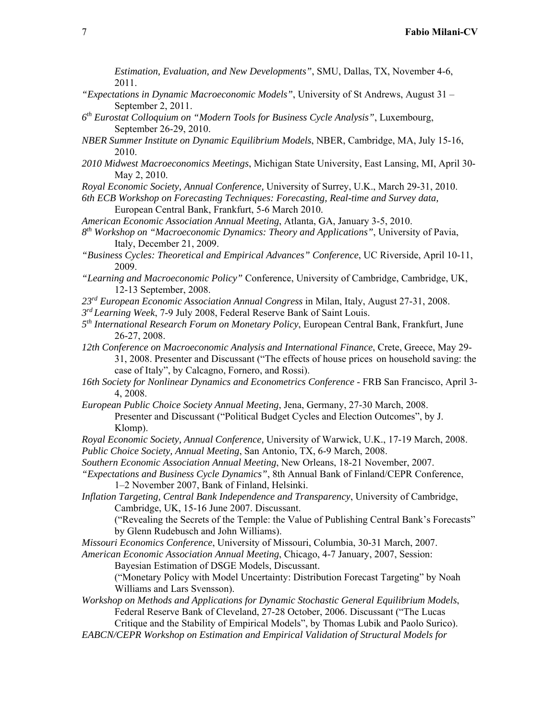*Estimation, Evaluation, and New Developments"*, SMU, Dallas, TX, November 4-6, 2011.

- *"Expectations in Dynamic Macroeconomic Models"*, University of St Andrews, August 31 September 2, 2011.
- *6th Eurostat Colloquium on "Modern Tools for Business Cycle Analysis"*, Luxembourg, September 26-29, 2010.
- *NBER Summer Institute on Dynamic Equilibrium Models*, NBER, Cambridge, MA, July 15-16, 2010.
- *2010 Midwest Macroeconomics Meetings*, Michigan State University, East Lansing, MI, April 30- May 2, 2010.
- *Royal Economic Society, Annual Conference,* University of Surrey, U.K., March 29-31, 2010.

*6th ECB Workshop on Forecasting Techniques: Forecasting, Real-time and Survey data,* European Central Bank, Frankfurt, 5-6 March 2010.

- *American Economic Association Annual Meeting*, Atlanta, GA, January 3-5, 2010.
- *8th Workshop on "Macroeconomic Dynamics: Theory and Applications"*, University of Pavia, Italy, December 21, 2009.
- *"Business Cycles: Theoretical and Empirical Advances" Conference*, UC Riverside, April 10-11, 2009.
- *"Learning and Macroeconomic Policy"* Conference, University of Cambridge, Cambridge, UK, 12-13 September, 2008.
- *23rd European Economic Association Annual Congress* in Milan, Italy, August 27-31, 2008.
- *3rd Learning Week*, 7-9 July 2008, Federal Reserve Bank of Saint Louis.
- *5th International Research Forum on Monetary Policy*, European Central Bank, Frankfurt, June 26-27, 2008.
- *12th Conference on Macroeconomic Analysis and International Finance*, Crete, Greece, May 29- 31, 2008. Presenter and Discussant ("The effects of house prices on household saving: the case of Italy", by Calcagno, Fornero, and Rossi).
- *16th Society for Nonlinear Dynamics and Econometrics Conference* FRB San Francisco, April 3- 4, 2008.
- *European Public Choice Society Annual Meeting*, Jena, Germany, 27-30 March, 2008. Presenter and Discussant ("Political Budget Cycles and Election Outcomes", by J. Klomp).
- *Royal Economic Society, Annual Conference,* University of Warwick, U.K., 17-19 March, 2008. *Public Choice Society, Annual Meeting*, San Antonio, TX, 6-9 March, 2008.
- *Southern Economic Association Annual Meeting*, New Orleans, 18-21 November, 2007.
- *"Expectations and Business Cycle Dynamics"*, 8th Annual Bank of Finland/CEPR Conference, 1–2 November 2007, Bank of Finland, Helsinki.
- *Inflation Targeting, Central Bank Independence and Transparency*, University of Cambridge, Cambridge, UK, 15-16 June 2007. Discussant.
	- ("Revealing the Secrets of the Temple: the Value of Publishing Central Bank's Forecasts" by Glenn Rudebusch and John Williams).
- *Missouri Economics Conference*, University of Missouri, Columbia, 30-31 March, 2007.
- *American Economic Association Annual Meeting*, Chicago, 4-7 January, 2007, Session:

Bayesian Estimation of DSGE Models, Discussant.

("Monetary Policy with Model Uncertainty: Distribution Forecast Targeting" by Noah Williams and Lars Svensson).

*Workshop on Methods and Applications for Dynamic Stochastic General Equilibrium Models*, Federal Reserve Bank of Cleveland, 27-28 October, 2006. Discussant ("The Lucas

Critique and the Stability of Empirical Models", by Thomas Lubik and Paolo Surico). *EABCN/CEPR Workshop on Estimation and Empirical Validation of Structural Models for*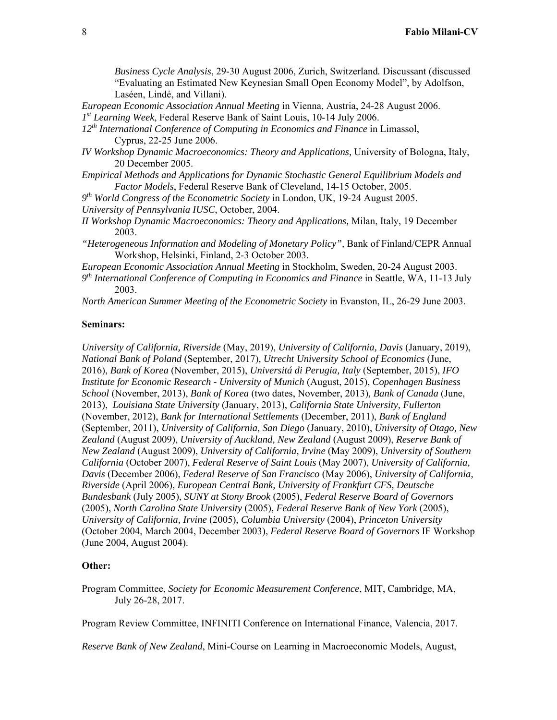*Business Cycle Analysis*, 29-30 August 2006, Zurich, Switzerland*.* Discussant (discussed "Evaluating an Estimated New Keynesian Small Open Economy Model", by Adolfson, Laséen, Lindé, and Villani).

*European Economic Association Annual Meeting* in Vienna, Austria, 24-28 August 2006. *1st Learning Week*, Federal Reserve Bank of Saint Louis, 10-14 July 2006.

*12th International Conference of Computing in Economics and Finance* in Limassol, Cyprus, 22-25 June 2006.

- *IV Workshop Dynamic Macroeconomics: Theory and Applications,* University of Bologna, Italy, 20 December 2005.
- *Empirical Methods and Applications for Dynamic Stochastic General Equilibrium Models and Factor Models*, Federal Reserve Bank of Cleveland, 14-15 October, 2005.
- *9th World Congress of the Econometric Society* in London, UK, 19-24 August 2005.

*University of Pennsylvania IUSC*, October, 2004.

- *II Workshop Dynamic Macroeconomics: Theory and Applications,* Milan, Italy, 19 December 2003.
- *"Heterogeneous Information and Modeling of Monetary Policy"*, Bank of Finland/CEPR Annual Workshop, Helsinki, Finland, 2-3 October 2003.

*European Economic Association Annual Meeting* in Stockholm, Sweden, 20-24 August 2003.

*9th International Conference of Computing in Economics and Finance* in Seattle, WA, 11-13 July 2003.

*North American Summer Meeting of the Econometric Society* in Evanston, IL, 26-29 June 2003.

#### **Seminars:**

*University of California, Riverside* (May, 2019), *University of California, Davis* (January, 2019), *National Bank of Poland* (September, 2017)*, Utrecht University School of Economics* (June, 2016), *Bank of Korea* (November, 2015), *Universitá di Perugia, Italy* (September, 2015), *IFO Institute for Economic Research - University of Munich* (August, 2015), *Copenhagen Business School* (November, 2013), *Bank of Korea* (two dates, November, 2013)*, Bank of Canada* (June, 2013), *Louisiana State University* (January, 2013), *California State University, Fullerton*  (November, 2012), *Bank for International Settlements* (December, 2011), *Bank of England*  (September, 2011), *University of California, San Diego* (January, 2010), *University of Otago, New Zealand* (August 2009), *University of Auckland, New Zealand* (August 2009), *Reserve Bank of New Zealand* (August 2009), *University of California, Irvine* (May 2009), *University of Southern California* (October 2007), *Federal Reserve of Saint Louis* (May 2007), *University of California, Davis* (December 2006), *Federal Reserve of San Francisco* (May 2006), *University of California, Riverside* (April 2006), *European Central Bank, University of Frankfurt CFS, Deutsche Bundesbank* (July 2005), *SUNY at Stony Brook* (2005), *Federal Reserve Board of Governors* (2005), *North Carolina State University* (2005), *Federal Reserve Bank of New York* (2005), *University of California, Irvine* (2005), *Columbia University* (2004), *Princeton University* (October 2004, March 2004, December 2003), *Federal Reserve Board of Governors* IF Workshop (June 2004, August 2004).

#### **Other:**

Program Committee, *Society for Economic Measurement Conference*, MIT, Cambridge, MA, July 26-28, 2017.

Program Review Committee, INFINITI Conference on International Finance, Valencia, 2017.

*Reserve Bank of New Zealand*, Mini-Course on Learning in Macroeconomic Models, August,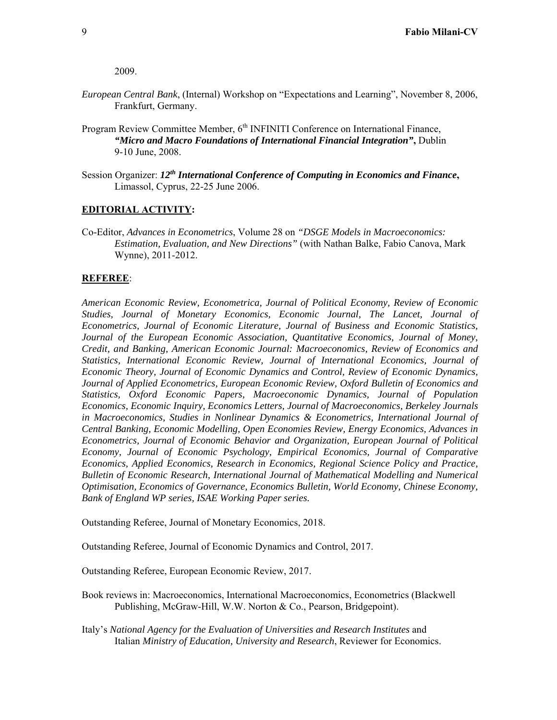2009.

- *European Central Bank*, (Internal) Workshop on "Expectations and Learning", November 8, 2006, Frankfurt, Germany.
- Program Review Committee Member, 6<sup>th</sup> INFINITI Conference on International Finance, *"Micro and Macro Foundations of International Financial Integration"***,** Dublin 9-10 June, 2008.
- Session Organizer: *12th International Conference of Computing in Economics and Finance***,** Limassol, Cyprus, 22-25 June 2006.

### **EDITORIAL ACTIVITY:**

Co-Editor, *Advances in Econometrics*, Volume 28 on *"DSGE Models in Macroeconomics: Estimation, Evaluation, and New Directions"* (with Nathan Balke, Fabio Canova, Mark Wynne), 2011-2012.

#### **REFEREE**:

*American Economic Review, Econometrica, Journal of Political Economy, Review of Economic Studies, Journal of Monetary Economics, Economic Journal, The Lancet, Journal of Econometrics, Journal of Economic Literature, Journal of Business and Economic Statistics, Journal of the European Economic Association, Quantitative Economics, Journal of Money, Credit, and Banking, American Economic Journal: Macroeconomics, Review of Economics and Statistics, International Economic Review, Journal of International Economics, Journal of Economic Theory, Journal of Economic Dynamics and Control, Review of Economic Dynamics, Journal of Applied Econometrics, European Economic Review, Oxford Bulletin of Economics and Statistics, Oxford Economic Papers, Macroeconomic Dynamics, Journal of Population Economics, Economic Inquiry, Economics Letters, Journal of Macroeconomics, Berkeley Journals in Macroeconomics, Studies in Nonlinear Dynamics & Econometrics, International Journal of Central Banking, Economic Modelling, Open Economies Review, Energy Economics, Advances in Econometrics, Journal of Economic Behavior and Organization, European Journal of Political Economy, Journal of Economic Psychology, Empirical Economics, Journal of Comparative Economics, Applied Economics, Research in Economics, Regional Science Policy and Practice, Bulletin of Economic Research, International Journal of Mathematical Modelling and Numerical Optimisation, Economics of Governance, Economics Bulletin, World Economy, Chinese Economy, Bank of England WP series, ISAE Working Paper series.* 

Outstanding Referee, Journal of Monetary Economics, 2018.

Outstanding Referee, Journal of Economic Dynamics and Control, 2017.

Outstanding Referee, European Economic Review, 2017.

- Book reviews in: Macroeconomics, International Macroeconomics, Econometrics (Blackwell Publishing, McGraw-Hill, W.W. Norton & Co., Pearson, Bridgepoint).
- Italy's *National Agency for the Evaluation of Universities and Research Institutes* and Italian *Ministry of Education, University and Research*, Reviewer for Economics.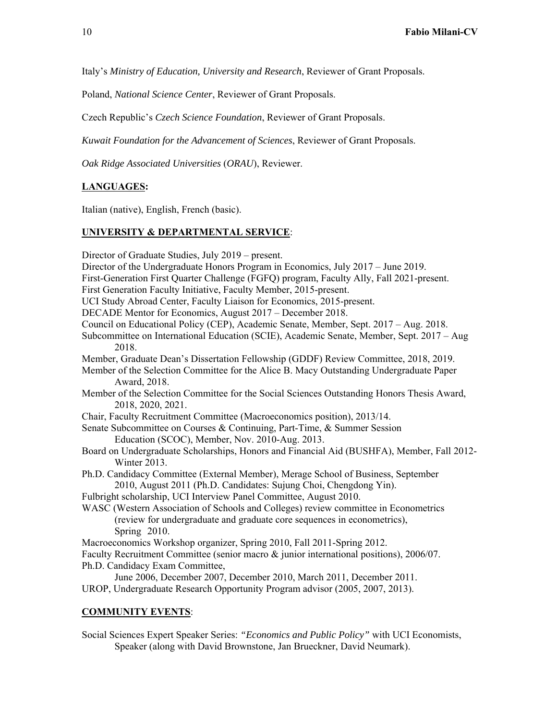Italy's *Ministry of Education, University and Research*, Reviewer of Grant Proposals.

Poland, *National Science Center*, Reviewer of Grant Proposals.

Czech Republic's *Czech Science Foundation*, Reviewer of Grant Proposals.

*Kuwait Foundation for the Advancement of Sciences*, Reviewer of Grant Proposals.

*Oak Ridge Associated Universities* (*ORAU*), Reviewer.

#### **LANGUAGES:**

Italian (native), English, French (basic).

#### **UNIVERSITY & DEPARTMENTAL SERVICE**:

Director of Graduate Studies, July 2019 – present. Director of the Undergraduate Honors Program in Economics, July 2017 – June 2019. First-Generation First Quarter Challenge (FGFQ) program, Faculty Ally, Fall 2021-present. First Generation Faculty Initiative, Faculty Member, 2015-present. UCI Study Abroad Center, Faculty Liaison for Economics, 2015-present. DECADE Mentor for Economics, August 2017 – December 2018. Council on Educational Policy (CEP), Academic Senate, Member, Sept. 2017 – Aug. 2018. Subcommittee on International Education (SCIE), Academic Senate, Member, Sept. 2017 – Aug 2018. Member, Graduate Dean's Dissertation Fellowship (GDDF) Review Committee, 2018, 2019. Member of the Selection Committee for the Alice B. Macy Outstanding Undergraduate Paper Award, 2018. Member of the Selection Committee for the Social Sciences Outstanding Honors Thesis Award, 2018, 2020, 2021. Chair, Faculty Recruitment Committee (Macroeconomics position), 2013/14. Senate Subcommittee on Courses & Continuing, Part-Time, & Summer Session Education (SCOC), Member, Nov. 2010-Aug. 2013. Board on Undergraduate Scholarships, Honors and Financial Aid (BUSHFA), Member, Fall 2012- Winter 2013. Ph.D. Candidacy Committee (External Member), Merage School of Business, September 2010, August 2011 (Ph.D. Candidates: Sujung Choi, Chengdong Yin). Fulbright scholarship, UCI Interview Panel Committee, August 2010. WASC (Western Association of Schools and Colleges) review committee in Econometrics (review for undergraduate and graduate core sequences in econometrics), Spring 2010. Macroeconomics Workshop organizer, Spring 2010, Fall 2011-Spring 2012. Faculty Recruitment Committee (senior macro & junior international positions), 2006/07. Ph.D. Candidacy Exam Committee, June 2006, December 2007, December 2010, March 2011, December 2011. UROP, Undergraduate Research Opportunity Program advisor (2005, 2007, 2013).

## **COMMUNITY EVENTS**:

Social Sciences Expert Speaker Series: *"Economics and Public Policy"* with UCI Economists, Speaker (along with David Brownstone, Jan Brueckner, David Neumark).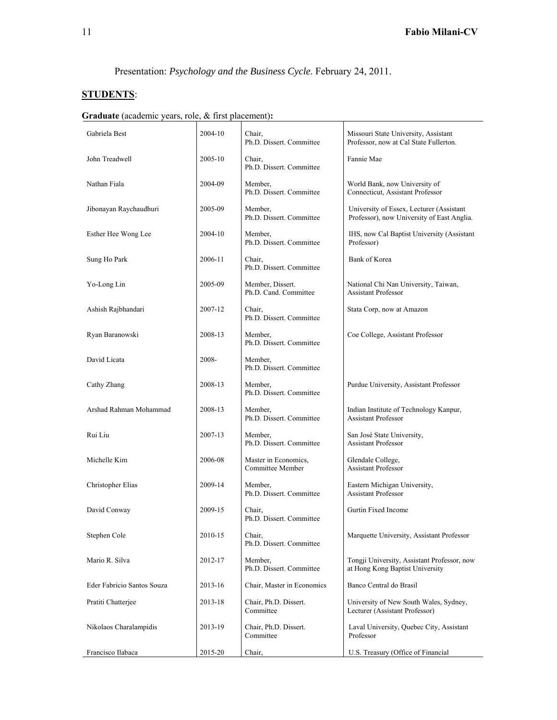Presentation: *Psychology and the Business Cycle*. February 24, 2011.

# **STUDENTS**:

|  | <b>Graduate</b> (academic years, role, & first placement): |  |  |  |  |
|--|------------------------------------------------------------|--|--|--|--|
|--|------------------------------------------------------------|--|--|--|--|

| Gabriela Best              | 2004-10 | Chair,<br>Ph.D. Dissert. Committee        | Missouri State University, Assistant<br>Professor, now at Cal State Fullerton.         |
|----------------------------|---------|-------------------------------------------|----------------------------------------------------------------------------------------|
| John Treadwell             | 2005-10 | Chair,<br>Ph.D. Dissert. Committee        | Fannie Mae                                                                             |
| Nathan Fiala               | 2004-09 | Member,<br>Ph.D. Dissert. Committee       | World Bank, now University of<br>Connecticut, Assistant Professor                      |
| Jibonayan Raychaudhuri     | 2005-09 | Member,<br>Ph.D. Dissert. Committee       | University of Essex, Lecturer (Assistant<br>Professor), now University of East Anglia. |
| Esther Hee Wong Lee        | 2004-10 | Member,<br>Ph.D. Dissert. Committee       | IHS, now Cal Baptist University (Assistant<br>Professor)                               |
| Sung Ho Park               | 2006-11 | Chair,<br>Ph.D. Dissert. Committee        | Bank of Korea                                                                          |
| Yo-Long Lin                | 2005-09 | Member, Dissert.<br>Ph.D. Cand. Committee | National Chi Nan University, Taiwan,<br><b>Assistant Professor</b>                     |
| Ashish Rajbhandari         | 2007-12 | Chair,<br>Ph.D. Dissert. Committee        | Stata Corp, now at Amazon                                                              |
| Ryan Baranowski            | 2008-13 | Member.<br>Ph.D. Dissert. Committee       | Coe College, Assistant Professor                                                       |
| David Licata               | 2008-   | Member,<br>Ph.D. Dissert. Committee       |                                                                                        |
| Cathy Zhang                | 2008-13 | Member,<br>Ph.D. Dissert. Committee       | Purdue University, Assistant Professor                                                 |
| Arshad Rahman Mohammad     | 2008-13 | Member,<br>Ph.D. Dissert. Committee       | Indian Institute of Technology Kanpur,<br><b>Assistant Professor</b>                   |
| Rui Liu                    | 2007-13 | Member.<br>Ph.D. Dissert. Committee       | San José State University,<br><b>Assistant Professor</b>                               |
| Michelle Kim               | 2006-08 | Master in Economics,<br>Committee Member  | Glendale College,<br><b>Assistant Professor</b>                                        |
| Christopher Elias          | 2009-14 | Member,<br>Ph.D. Dissert. Committee       | Eastern Michigan University,<br><b>Assistant Professor</b>                             |
| David Conway               | 2009-15 | Chair.<br>Ph.D. Dissert. Committee        | Gurtin Fixed Income                                                                    |
| Stephen Cole               | 2010-15 | Chair,<br>Ph.D. Dissert. Committee        | Marquette University, Assistant Professor                                              |
| Mario R. Silva             | 2012-17 | Member,<br>Ph.D. Dissert. Committee       | Tongji University, Assistant Professor, now<br>at Hong Kong Baptist University         |
| Eder Fabricio Santos Souza | 2013-16 | Chair, Master in Economics                | Banco Central do Brasil                                                                |
| Pratiti Chatterjee         | 2013-18 | Chair, Ph.D. Dissert.<br>Committee        | University of New South Wales, Sydney,<br>Lecturer (Assistant Professor)               |
| Nikolaos Charalampidis     | 2013-19 | Chair, Ph.D. Dissert.<br>Committee        | Laval University, Quebec City, Assistant<br>Professor                                  |
| Francisco Ilabaca          | 2015-20 | Chair,                                    | U.S. Treasury (Office of Financial                                                     |